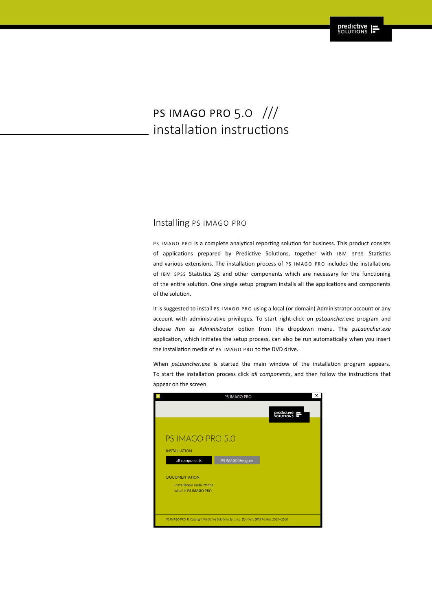# PS IMAGO PRO 5.0 /// installation instructions

#### Installing PS IMAGO PRO

PS IMAGO PRO is a complete analytical reporting solution for business. This product consists of applications prepared by Predictive Solutions, together with IBM SPSS Statistics and various extensions. The installation process of PS IMAGO PRO includes the installations of IBM SPSS Statistics 25 and other components which are necessary for the functioning of the entire solution. One single setup program installs all the applications and components of the solution.

It is suggested to install PS IMAGO PRO using a local (or domain) Administrator account or any account with administrative privileges. To start right-click on *psLauncher.exe* program and choose *Run as Administrator* option from the dropdown menu. The *psLauncher.exe* application, which initiates the setup process, can also be run automatically when you insert the installation media of PS IMAGO PRO to the DVD drive.

When *psLauncher.exe* is started the main window of the installation program appears. To start the installation process click *all components*, and then follow the instructions that appear on the screen.

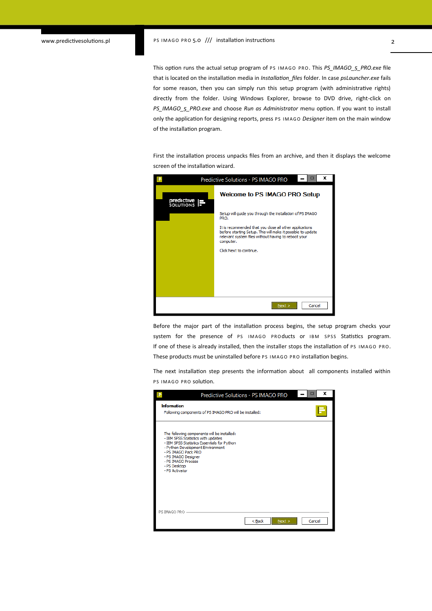This option runs the actual setup program of PS IMAGO PRO. This *PS\_IMAGO\_5\_PRO.exe* file that is located on the installation media in *Installation\_files* folder. In case *psLauncher.exe* fails for some reason, then you can simply run this setup program (with administrative rights) directly from the folder. Using Windows Explorer, browse to DVD drive, right-click on *PS\_IMAGO\_5\_PRO.exe* and choose *Run as Administrator* menu option. If you want to install only the application for designing reports, press PS IMAGO *Designer* item on the main window of the installation program.

First the installation process unpacks files from an archive, and then it displays the welcome screen of the installation wizard.



Before the major part of the installation process begins, the setup program checks your system for the presence of PS IMAGO PROducts or IBM SPSS Statistics program. If one of these is already installed, then the installer stops the installation of PS IMAGO PRO. These products must be uninstalled before PS IMAGO PRO installation begins.

The next installation step presents the information about all components installed within PS IMAGO PRO solution.

| Predictive Solutions - PS IMAGO PRO                                                                                                                                                                                                                                        | x<br>□         |
|----------------------------------------------------------------------------------------------------------------------------------------------------------------------------------------------------------------------------------------------------------------------------|----------------|
| <b>Information</b><br>Following components of PS IMAGO PRO will be installed:                                                                                                                                                                                              |                |
| The following components will be installed:<br>- IBM SPSS Statistics with updates<br>- IBM SPSS Statistics Essentials for Python<br>- Python Development Environment<br>- PS IMAGO Pack PRO<br>- PS IMAGO Designer<br>- PS IMAGO Process<br>- PS Desktop<br>- PS Activator |                |
| PS IMAGO PRO<br>$Back$                                                                                                                                                                                                                                                     | Cancel<br>Next |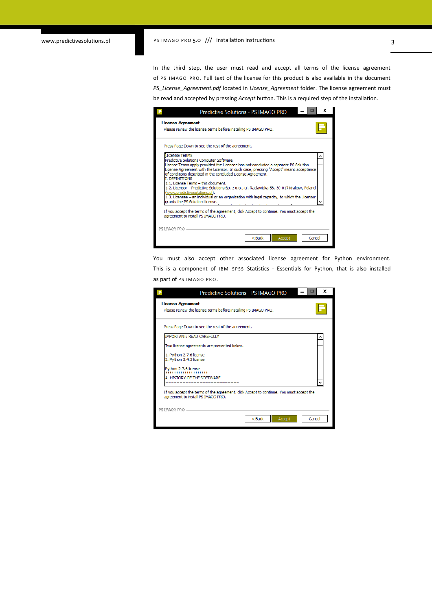## www.predictivesolutions.pl PS IMAGO PRO 5.0 /// installation instructions 3

In the third step, the user must read and accept all terms of the license agreement of PS IMAGO PRO. Full text of the license for this product is also available in the document *PS\_License\_Agreement.pdf* located in *License\_Agreement* folder. The license agreement must be read and accepted by pressing *Accept* button. This is a required step of the installation.

| ×<br>Predictive Solutions - PS IMAGO PRO                                                                                                                                                                                                                                                                                                                                                                                                                                                                                                                                                                                                     |
|----------------------------------------------------------------------------------------------------------------------------------------------------------------------------------------------------------------------------------------------------------------------------------------------------------------------------------------------------------------------------------------------------------------------------------------------------------------------------------------------------------------------------------------------------------------------------------------------------------------------------------------------|
| <b>License Agreement</b><br>Please review the license terms before installing PS IMAGO PRO.                                                                                                                                                                                                                                                                                                                                                                                                                                                                                                                                                  |
| Press Page Down to see the rest of the agreement.                                                                                                                                                                                                                                                                                                                                                                                                                                                                                                                                                                                            |
| <b>LICENSE TERMS</b><br>Predictive Solutions Computer Software<br>License Terms apply provided the Licensee has not concluded a separate PS Solution<br>License Agreement with the Licensor. In such case, pressing "Accept" means acceptance<br>of conditions described in the concluded License Agreement.<br><b>I. DEFINITIONS</b><br>1.1. License Terms - this document.<br>1.2. Licensor - Predictive Solutions Sp. z o.o., ul. Raclawicka 58, 30-017 Krakow, Poland<br>(www.predictivesolutions.pl).<br>1.3. Licensee - an individual or an organization with legal capacity, to which the Licensor<br>grants the PS Solution License. |
| If you accept the terms of the agreement, dick Accept to continue. You must accept the<br>agreement to install PS IMAGO PRO.                                                                                                                                                                                                                                                                                                                                                                                                                                                                                                                 |
| PS IMAGO PRO.<br>< Back<br>Cancel<br>Accept                                                                                                                                                                                                                                                                                                                                                                                                                                                                                                                                                                                                  |

You must also accept other associated license agreement for Python environment. This is a component of IBM SPSS Statistics - Essentials for Python, that is also installed as part of PS IMAGO PRO.

| x<br>Predictive Solutions - PS IMAGO PRO                                                                                      |
|-------------------------------------------------------------------------------------------------------------------------------|
| <b>License Agreement</b><br>Please review the license terms before installing PS IMAGO PRO.                                   |
| Press Page Down to see the rest of the agreement.                                                                             |
| <b>IMPORTANT: READ CAREFULLY</b>                                                                                              |
| Two license agreements are presented below.                                                                                   |
| 1. Python 2.7.6 license<br>2. Python 3.4.3 license                                                                            |
| Python 2.7.6 license<br>*******************                                                                                   |
| A. HISTORY OF THE SOFTWARE<br>--------------------------                                                                      |
| If you accept the terms of the agreement, click Accept to continue. You must accept the<br>agreement to install PS IMAGO PRO. |
| PS IMAGO PRO -                                                                                                                |
| $8$ Back<br>Cancel<br>Accept                                                                                                  |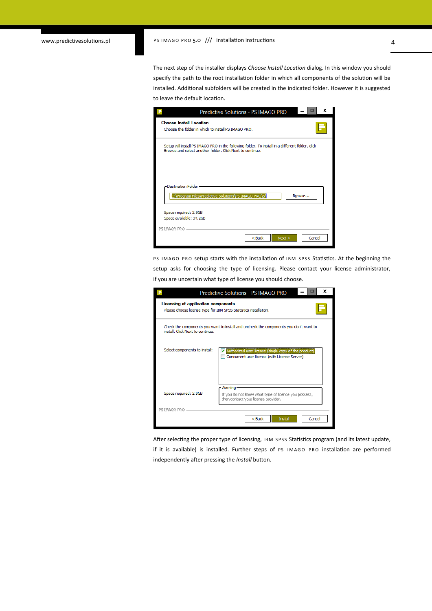The next step of the installer displays *Choose Install Location* dialog. In this window you should specify the path to the root installation folder in which all components of the solution will be installed. Additional subfolders will be created in the indicated folder. However it is suggested to leave the default location.

|                                                  | Predictive Solutions - PS IMAGO PRO                                                                                                                           | x              |
|--------------------------------------------------|---------------------------------------------------------------------------------------------------------------------------------------------------------------|----------------|
| <b>Choose Install Location</b>                   | Choose the folder in which to install PS IMAGO PRO.                                                                                                           |                |
|                                                  | Setup will install PS IMAGO PRO in the following folder. To install in a different folder, click<br>Browse and select another folder. Click Next to continue. |                |
| - Destination Folder -                           | C:\Program Files\Predictive Solutions\PS IMAGO PRO\5\                                                                                                         | Browse         |
| Space required: 2.9GB<br>Space available: 34.2GB |                                                                                                                                                               |                |
|                                                  | $Back$                                                                                                                                                        | Next<br>Cancel |

PS IMAGO PRO setup starts with the installation of IBM SPSS Statistics. At the beginning the setup asks for choosing the type of licensing. Please contact your license administrator, if you are uncertain what type of license you should choose.

|                                                                                                         | x<br>Predictive Solutions - PS IMAGO PRO                                                                 |
|---------------------------------------------------------------------------------------------------------|----------------------------------------------------------------------------------------------------------|
| Licensing of application components<br>Please choose license type for IBM SPSS Statistics installation. |                                                                                                          |
| install. Click Next to continue.                                                                        | Check the components you want to install and uncheck the components you don't want to                    |
| Select components to install:                                                                           | Authorized user license (single copy of the product)<br>Concurrent user license (with License Server)    |
| Space required: 2.9GB                                                                                   | - Warning<br>If you do not know what type of license you possess,<br>then contact your license provider. |
| PS IMAGO PRO                                                                                            |                                                                                                          |
|                                                                                                         | $<$ Back<br>Install<br>Cancel                                                                            |

After selecting the proper type of licensing, IBM SPSS Statistics program (and its latest update, if it is available) is installed. Further steps of PS IMAGO PRO installation are performed independently after pressing the *Install* button.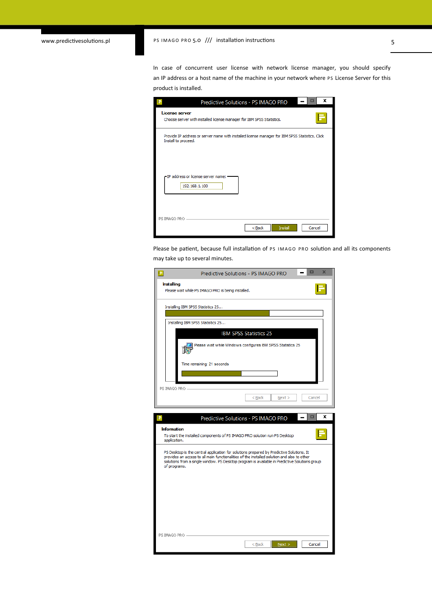## www.predictivesolutions.pl PS IMAGO PRO 5.0 /// installation instructions 5

In case of concurrent user license with network license manager, you should specify an IP address or a host name of the machine in your network where PS License Server for this product is installed.

| х<br>Predictive Solutions - PS IMAGO PRO                                                                               |
|------------------------------------------------------------------------------------------------------------------------|
| License server<br>Choose server with installed license manager for IBM SPSS Statistics.                                |
| Provide IP address or server name with installed license manager for IBM SPSS Statistics. Click<br>Install to proceed. |
| - IP address or license server name: -<br>192, 168, 1, 100                                                             |
| PS IMAGO PRO<br>$Back$<br>Install<br>Cancel                                                                            |

Please be patient, because full installation of PS IMAGO PRO solution and all its components may take up to several minutes.

| $\overline{\mathbf{x}}$<br>▭<br>Predictive Solutions - PS IMAGO PRO<br>E                                                                                                                                                                                                                                |  |  |  |  |
|---------------------------------------------------------------------------------------------------------------------------------------------------------------------------------------------------------------------------------------------------------------------------------------------------------|--|--|--|--|
| Installing<br>Please wait while PS IMAGO PRO is being installed.                                                                                                                                                                                                                                        |  |  |  |  |
| Installing IBM SPSS Statistics 25                                                                                                                                                                                                                                                                       |  |  |  |  |
| Installing IBM SPSS Statistics 25                                                                                                                                                                                                                                                                       |  |  |  |  |
| <b>IBM SPSS Statistics 25</b><br>Please wait while Windows configures IBM SPSS Statistics 25                                                                                                                                                                                                            |  |  |  |  |
| Time remaining: 21 seconds                                                                                                                                                                                                                                                                              |  |  |  |  |
| PS IMAGO PRO -<br>Cancel<br>$<$ Back<br>Next                                                                                                                                                                                                                                                            |  |  |  |  |
| x<br>E<br>Predictive Solutions - PS IMAGO PRO                                                                                                                                                                                                                                                           |  |  |  |  |
| <b>Information</b><br>To start the installed components of PS IMAGO PRO solution run PS Desktop<br>application.                                                                                                                                                                                         |  |  |  |  |
| PS Desktop is the central application for solutions prepared by Predictive Solutions. It<br>provides an access to all main functionalities of the installed solution and also to other<br>solutions from a single window. PS Desktop program is available in Predictive Solutions group<br>of programs. |  |  |  |  |
|                                                                                                                                                                                                                                                                                                         |  |  |  |  |
|                                                                                                                                                                                                                                                                                                         |  |  |  |  |
|                                                                                                                                                                                                                                                                                                         |  |  |  |  |
| PS IMAGO PRO -<br>Cancel                                                                                                                                                                                                                                                                                |  |  |  |  |
| $Back$<br>$N$ ext >                                                                                                                                                                                                                                                                                     |  |  |  |  |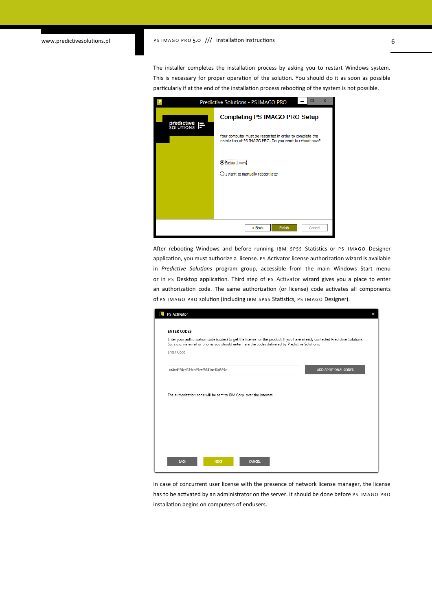#### www.predictivesolutions.pl PS IMAGO PRO 5.0 /// installation instructions 6

The installer completes the installation process by asking you to restart Windows system. This is necessary for proper operation of the solution. You should do it as soon as possible particularly if at the end of the installation process rebooting of the system is not possible.

|                                     | Predictive Solutions - PS IMAGO PRO                                                                                  |  |  |  |
|-------------------------------------|----------------------------------------------------------------------------------------------------------------------|--|--|--|
| <b>predictive</b><br>SOLUTIONS<br>Τ | <b>Completing PS IMAGO PRO Setup</b>                                                                                 |  |  |  |
|                                     | Your computer must be restarted in order to complete the<br>installation of PS IMAGO PRO. Do you want to reboot now? |  |  |  |
|                                     | ,<br>Reboot now                                                                                                      |  |  |  |
|                                     | $\bigcirc$ I want to manually reboot later                                                                           |  |  |  |
|                                     |                                                                                                                      |  |  |  |
|                                     | $Back$<br>Finish<br>Cancel                                                                                           |  |  |  |

After rebooting Windows and before running IBM SPSS Statistics or PS IMAGO Designer application, you must authorize a license. PS Activator license authorization wizard is available in *Predictive Solutions* program group, accessible from the main Windows Start menu or in PS Desktop application. Third step of PS Activator wizard gives you a place to enter an authorization code. The same authorization (or license) code activates all components of PS IMAGO PRO solution (including IBM SPSS Statistics, PS IMAGO Designer).

| PS Activator<br>×                                                                                                                                                                                                                 |
|-----------------------------------------------------------------------------------------------------------------------------------------------------------------------------------------------------------------------------------|
| <b>ENTER CODES</b>                                                                                                                                                                                                                |
| Enter your authorization code (codes) to get the license for the product. If you have already contacted Predictive Solutions<br>Sp. z o.o. via email or phone, you should enter here the codes delivered by Predictive Solutions. |
| Enter Code:                                                                                                                                                                                                                       |
| ca3ad456cd234cd45cef5631ac43d599c<br>ADD ADDITIONAL CODES                                                                                                                                                                         |
|                                                                                                                                                                                                                                   |
| The authorization code will be sent to IBM Corp. over the Internet.                                                                                                                                                               |
|                                                                                                                                                                                                                                   |
|                                                                                                                                                                                                                                   |
|                                                                                                                                                                                                                                   |
|                                                                                                                                                                                                                                   |
| <b>BACK</b><br><b>CANCEL</b><br><b>NEXT</b>                                                                                                                                                                                       |
|                                                                                                                                                                                                                                   |

In case of concurrent user license with the presence of network license manager, the license has to be activated by an administrator on the server. It should be done before PS IMAGO PRO installation begins on computers of endusers.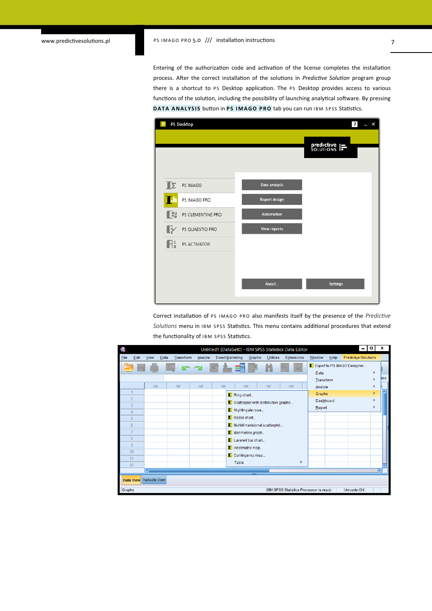Entering of the authorization code and activation of the license completes the installation process. After the correct installation of the solutions in *Predictive Solution* program group there is a shortcut to PS Desktop application. The PS Desktop provides access to various functions of the solution, including the possibility of launching analytical software. By pressing **DATA ANALYSIS button in PS IMAGO PRO** tab you can run IBM SPSS Statistics.

| PS Desktop<br>E                |                     | $\overline{\mathbf{r}}$<br>$- x$ |
|--------------------------------|---------------------|----------------------------------|
|                                |                     | <b>predictive</b> $\equiv$       |
| $\mathbb{I}$<br>PS IMAGO       | Data analysis       |                                  |
| TЛ<br>PS IMAGO PRO             | Report design       |                                  |
| E<br>PS CLEMENTINE PRO         | Automation          |                                  |
| $\mathbb R$<br>PS QUAESTIO PRO | <b>View reports</b> |                                  |
| $\mathbb{R}^n$<br>PS ACTIVATOR |                     |                                  |
|                                |                     |                                  |
|                                | About               | <b>Settings</b>                  |

Correct installation of PS IMAGO PRO also manifests itself by the presence of the *Predictive* Solutions menu in IBM SPSS Statistics. This menu contains additional procedures that extend the functionality of IBM SPSS Statistics.

| ú,     |                     |                |      |           |         |                  |                                      |                  | Untitled1 [DataSet0] - IBM SPSS Statistics Data Editor |           |      | -                           | o | x    |
|--------|---------------------|----------------|------|-----------|---------|------------------|--------------------------------------|------------------|--------------------------------------------------------|-----------|------|-----------------------------|---|------|
| File   | Edit                | <b>View</b>    | Data | Transform | Analyze | Direct Marketing | Graphs                               | <b>Utilities</b> | Extensions                                             | Window    | Help | <b>Predictive Solutions</b> |   |      |
|        |                     |                |      | にっ        |         |                  | 1                                    |                  |                                                        |           |      | Export to PS IMAGO Designer |   |      |
|        |                     |                |      |           |         |                  |                                      |                  |                                                        | Data      |      |                             | Þ |      |
|        |                     |                |      |           |         |                  |                                      |                  |                                                        | Transform |      |                             |   | lles |
|        |                     | var            |      | var       | var     | var              | var                                  | var              | var                                                    | Analyze   |      |                             |   |      |
|        | 1                   |                |      |           |         |                  | <b>E</b> Ring chart                  |                  |                                                        | Graphs    |      |                             | k |      |
|        | $\overline{2}$      |                |      |           |         |                  | Scatterplot with distribution graphs |                  |                                                        | Dashboard |      |                             | ٠ |      |
|        | 3                   |                |      |           |         |                  | Nightingale rose                     |                  |                                                        | Report    |      |                             |   |      |
|        | $\overline{4}$<br>5 |                |      |           |         |                  | Radar chart                          |                  |                                                        |           |      |                             |   |      |
|        | $6\phantom{a}$      |                |      |           |         |                  | Multidimensional scatterplot         |                  |                                                        |           |      |                             |   |      |
|        | 7                   |                |      |           |         |                  |                                      |                  |                                                        |           |      |                             |   |      |
|        | $\boldsymbol{8}$    |                |      |           |         |                  | Iz Marimekko graph                   |                  |                                                        |           |      |                             |   |      |
|        | 9                   |                |      |           |         |                  | Layered bar chart                    |                  |                                                        |           |      |                             |   |      |
|        | 10                  |                |      |           |         |                  | <b>Fa</b> Heatmatrix map             |                  |                                                        |           |      |                             |   |      |
|        | 11                  |                |      |           |         |                  | La Contingency map                   |                  |                                                        |           |      |                             |   |      |
|        | 12                  |                |      |           |         |                  | Table                                |                  | ħ                                                      |           |      |                             |   |      |
|        |                     | $\overline{4}$ |      |           |         |                  | w                                    |                  |                                                        |           |      |                             |   |      |
|        | Data View           | Variable View  |      |           |         |                  |                                      |                  |                                                        |           |      |                             |   |      |
|        |                     |                |      |           |         |                  |                                      |                  |                                                        |           |      |                             |   |      |
| Graphs |                     |                |      |           |         |                  |                                      |                  | IBM SPSS Statistics Processor is ready                 |           |      | Unicode:ON                  |   |      |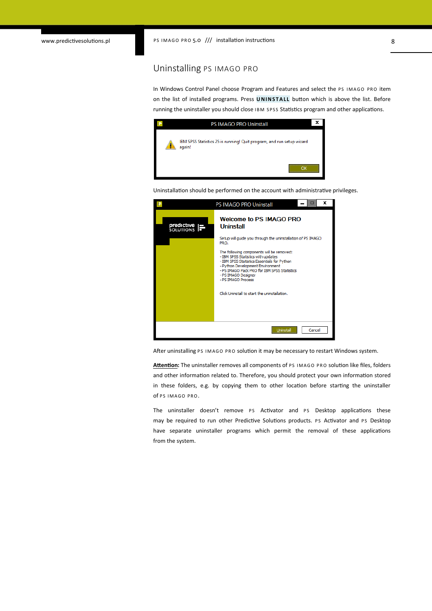#### Uninstalling PS IMAGO PRO

In Windows Control Panel choose Program and Features and select the PS IMAGO PRO item on the list of installed programs. Press **UNINSTALL** button which is above the list. Before running the uninstaller you should close IBM SPSS Statistics program and other applications.

|  | <b>PS IMAGO PRO Uninstall</b>                                                   | x |
|--|---------------------------------------------------------------------------------|---|
|  | IBM SPSS Statistics 25 is running! Quit program, and run setup wizard<br>again! |   |
|  |                                                                                 |   |

Uninstallation should be performed on the account with administrative privileges.



After uninstalling PS IMAGO PRO solution it may be necessary to restart Windows system.

Attention: The uninstaller removes all components of PS IMAGO PRO solution like files, folders and other information related to. Therefore, you should protect your own information stored in these folders, e.g. by copying them to other location before starting the uninstaller of PS IMAGO PRO.

The uninstaller doesn't remove PS Activator and PS Desktop applications these may be required to run other Predictive Solutions products. PS Activator and PS Desktop have separate uninstaller programs which permit the removal of these applications from the system.